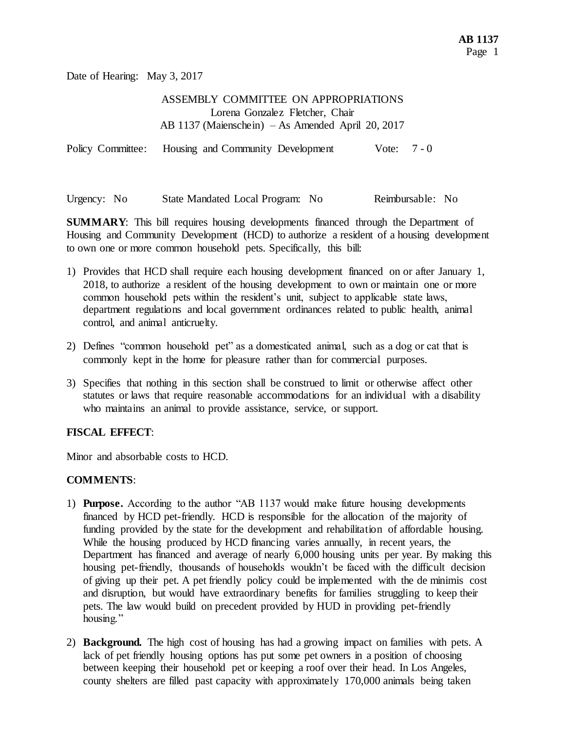Date of Hearing: May 3, 2017

## ASSEMBLY COMMITTEE ON APPROPRIATIONS Lorena Gonzalez Fletcher, Chair AB 1137 (Maienschein) – As Amended April 20, 2017

Policy Committee: Housing and Community Development Vote: 7 - 0

Urgency: No State Mandated Local Program: No Reimbursable: No

**SUMMARY**: This bill requires housing developments financed through the Department of Housing and Community Development (HCD) to authorize a resident of a housing development to own one or more common household pets. Specifically, this bill:

- 1) Provides that HCD shall require each housing development financed on or after January 1, 2018, to authorize a resident of the housing development to own or maintain one or more common household pets within the resident's unit, subject to applicable state laws, department regulations and local government ordinances related to public health, animal control, and animal anticruelty.
- 2) Defines "common household pet" as a domesticated animal, such as a dog or cat that is commonly kept in the home for pleasure rather than for commercial purposes.
- 3) Specifies that nothing in this section shall be construed to limit or otherwise affect other statutes or laws that require reasonable accommodations for an individual with a disability who maintains an animal to provide assistance, service, or support.

## **FISCAL EFFECT**:

Minor and absorbable costs to HCD.

## **COMMENTS**:

- 1) **Purpose.** According to the author "AB 1137 would make future housing developments financed by HCD pet-friendly. HCD is responsible for the allocation of the majority of funding provided by the state for the development and rehabilitation of affordable housing. While the housing produced by HCD financing varies annually, in recent years, the Department has financed and average of nearly 6,000 housing units per year. By making this housing pet-friendly, thousands of households wouldn't be faced with the difficult decision of giving up their pet. A pet friendly policy could be implemented with the de minimis cost and disruption, but would have extraordinary benefits for families struggling to keep their pets. The law would build on precedent provided by HUD in providing pet-friendly housing."
- 2) **Background.** The high cost of housing has had a growing impact on families with pets. A lack of pet friendly housing options has put some pet owners in a position of choosing between keeping their household pet or keeping a roof over their head. In Los Angeles, county shelters are filled past capacity with approximately 170,000 animals being taken